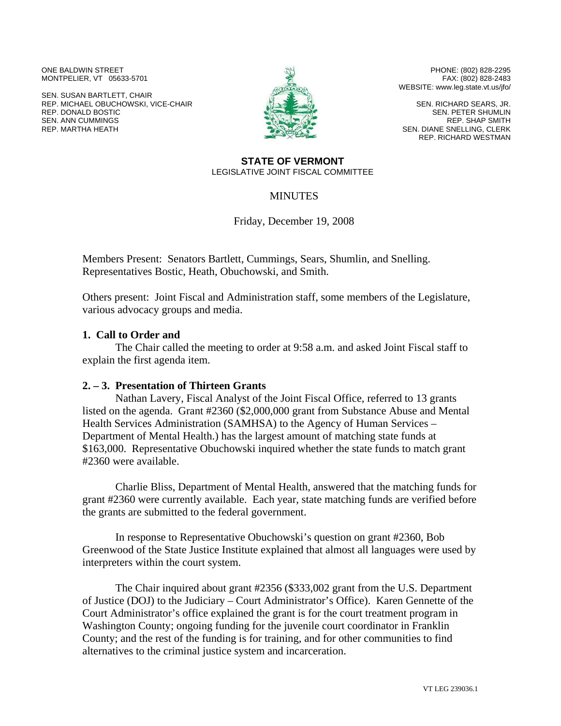ONE BALDWIN STREET MONTPELIER, VT 05633-5701

SEN. SUSAN BARTLETT, CHAIR REP. MICHAEL OBUCHOWSKI, VICE-CHAIR REP. DONALD BOSTIC SEN. ANN CUMMINGS REP. MARTHA HEATH



PHONE: (802) 828-2295 FAX: (802) 828-2483 WEBSITE: www.leg.state.vt.us/jfo/

SEN. RICHARD SEARS, JR. SEN. PETER SHUMLIN REP. SHAP SMITH SEN. DIANE SNELLING, CLERK REP. RICHARD WESTMAN

#### **STATE OF VERMONT**  LEGISLATIVE JOINT FISCAL COMMITTEE

#### **MINUTES**

Friday, December 19, 2008

Members Present: Senators Bartlett, Cummings, Sears, Shumlin, and Snelling. Representatives Bostic, Heath, Obuchowski, and Smith.

Others present: Joint Fiscal and Administration staff, some members of the Legislature, various advocacy groups and media.

## **1. Call to Order and**

The Chair called the meeting to order at 9:58 a.m. and asked Joint Fiscal staff to explain the first agenda item.

## **2. – 3. Presentation of Thirteen Grants**

Nathan Lavery, Fiscal Analyst of the Joint Fiscal Office, referred to 13 grants listed on the agenda. Grant #2360 (\$2,000,000 grant from Substance Abuse and Mental Health Services Administration (SAMHSA) to the Agency of Human Services – Department of Mental Health.) has the largest amount of matching state funds at \$163,000. Representative Obuchowski inquired whether the state funds to match grant #2360 were available.

Charlie Bliss, Department of Mental Health, answered that the matching funds for grant #2360 were currently available. Each year, state matching funds are verified before the grants are submitted to the federal government.

In response to Representative Obuchowski's question on grant #2360, Bob Greenwood of the State Justice Institute explained that almost all languages were used by interpreters within the court system.

The Chair inquired about grant #2356 (\$333,002 grant from the U.S. Department of Justice (DOJ) to the Judiciary – Court Administrator's Office). Karen Gennette of the Court Administrator's office explained the grant is for the court treatment program in Washington County; ongoing funding for the juvenile court coordinator in Franklin County; and the rest of the funding is for training, and for other communities to find alternatives to the criminal justice system and incarceration.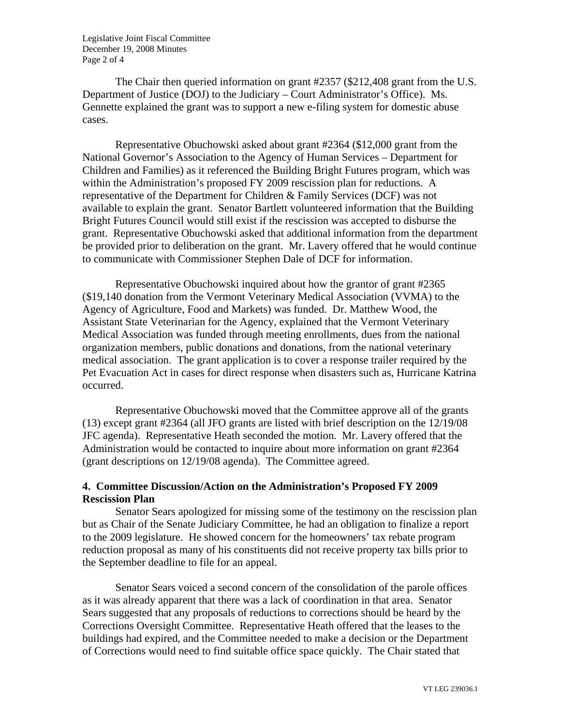Legislative Joint Fiscal Committee December 19, 2008 Minutes Page 2 of 4

The Chair then queried information on grant #2357 (\$212,408 grant from the U.S. Department of Justice (DOJ) to the Judiciary – Court Administrator's Office). Ms. Gennette explained the grant was to support a new e-filing system for domestic abuse cases.

Representative Obuchowski asked about grant #2364 (\$12,000 grant from the National Governor's Association to the Agency of Human Services – Department for Children and Families) as it referenced the Building Bright Futures program, which was within the Administration's proposed FY 2009 rescission plan for reductions. A representative of the Department for Children & Family Services (DCF) was not available to explain the grant. Senator Bartlett volunteered information that the Building Bright Futures Council would still exist if the rescission was accepted to disburse the grant. Representative Obuchowski asked that additional information from the department be provided prior to deliberation on the grant. Mr. Lavery offered that he would continue to communicate with Commissioner Stephen Dale of DCF for information.

Representative Obuchowski inquired about how the grantor of grant #2365 (\$19,140 donation from the Vermont Veterinary Medical Association (VVMA) to the Agency of Agriculture, Food and Markets) was funded. Dr. Matthew Wood, the Assistant State Veterinarian for the Agency, explained that the Vermont Veterinary Medical Association was funded through meeting enrollments, dues from the national organization members, public donations and donations, from the national veterinary medical association. The grant application is to cover a response trailer required by the Pet Evacuation Act in cases for direct response when disasters such as, Hurricane Katrina occurred.

Representative Obuchowski moved that the Committee approve all of the grants (13) except grant #2364 (all JFO grants are listed with brief description on the 12/19/08 JFC agenda). Representative Heath seconded the motion. Mr. Lavery offered that the Administration would be contacted to inquire about more information on grant #2364 (grant descriptions on 12/19/08 agenda). The Committee agreed.

# **4. Committee Discussion/Action on the Administration's Proposed FY 2009 Rescission Plan**

Senator Sears apologized for missing some of the testimony on the rescission plan but as Chair of the Senate Judiciary Committee, he had an obligation to finalize a report to the 2009 legislature. He showed concern for the homeowners' tax rebate program reduction proposal as many of his constituents did not receive property tax bills prior to the September deadline to file for an appeal.

Senator Sears voiced a second concern of the consolidation of the parole offices as it was already apparent that there was a lack of coordination in that area. Senator Sears suggested that any proposals of reductions to corrections should be heard by the Corrections Oversight Committee. Representative Heath offered that the leases to the buildings had expired, and the Committee needed to make a decision or the Department of Corrections would need to find suitable office space quickly. The Chair stated that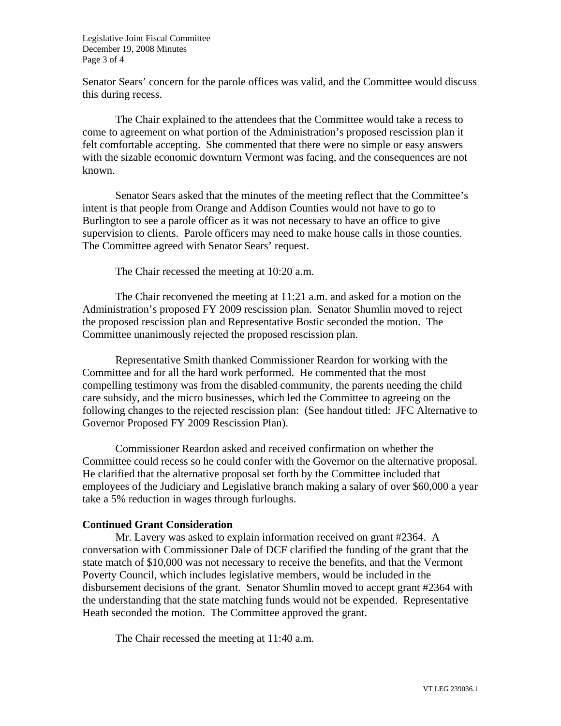Legislative Joint Fiscal Committee December 19, 2008 Minutes Page 3 of 4

Senator Sears' concern for the parole offices was valid, and the Committee would discuss this during recess.

The Chair explained to the attendees that the Committee would take a recess to come to agreement on what portion of the Administration's proposed rescission plan it felt comfortable accepting. She commented that there were no simple or easy answers with the sizable economic downturn Vermont was facing, and the consequences are not known.

Senator Sears asked that the minutes of the meeting reflect that the Committee's intent is that people from Orange and Addison Counties would not have to go to Burlington to see a parole officer as it was not necessary to have an office to give supervision to clients. Parole officers may need to make house calls in those counties. The Committee agreed with Senator Sears' request.

The Chair recessed the meeting at 10:20 a.m.

The Chair reconvened the meeting at 11:21 a.m. and asked for a motion on the Administration's proposed FY 2009 rescission plan. Senator Shumlin moved to reject the proposed rescission plan and Representative Bostic seconded the motion. The Committee unanimously rejected the proposed rescission plan.

Representative Smith thanked Commissioner Reardon for working with the Committee and for all the hard work performed. He commented that the most compelling testimony was from the disabled community, the parents needing the child care subsidy, and the micro businesses, which led the Committee to agreeing on the following changes to the rejected rescission plan: (See handout titled: JFC Alternative to Governor Proposed FY 2009 Rescission Plan).

Commissioner Reardon asked and received confirmation on whether the Committee could recess so he could confer with the Governor on the alternative proposal. He clarified that the alternative proposal set forth by the Committee included that employees of the Judiciary and Legislative branch making a salary of over \$60,000 a year take a 5% reduction in wages through furloughs.

## **Continued Grant Consideration**

Mr. Lavery was asked to explain information received on grant #2364. A conversation with Commissioner Dale of DCF clarified the funding of the grant that the state match of \$10,000 was not necessary to receive the benefits, and that the Vermont Poverty Council, which includes legislative members, would be included in the disbursement decisions of the grant. Senator Shumlin moved to accept grant #2364 with the understanding that the state matching funds would not be expended. Representative Heath seconded the motion. The Committee approved the grant.

The Chair recessed the meeting at 11:40 a.m.